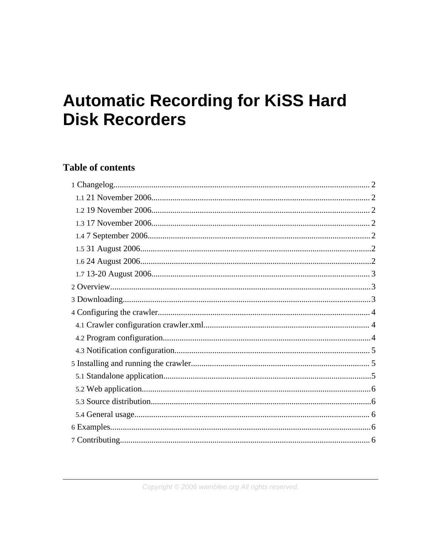# **Automatic Recording for KiSS Hard Disk Recorders**

# **Table of contents**

Copyright © 2006 wamblee.org All rights reserved.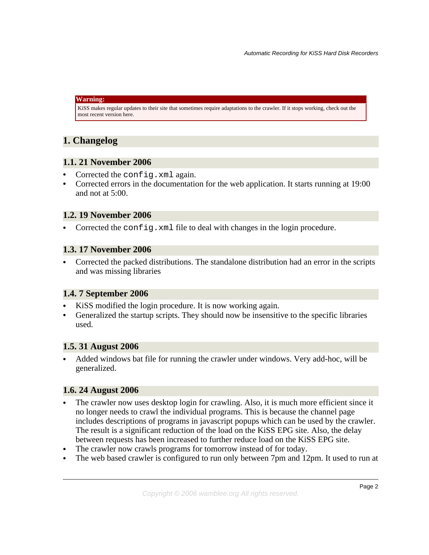#### **Warning:**

KiSS makes regular updates to their site that sometimes require adaptations to the crawler. If it stops working, check out the most recent version here.

## <span id="page-1-0"></span>**1. Changelog**

#### <span id="page-1-1"></span>**1.1. 21 November 2006**

- Corrected the config.xml again.
- Corrected errors in the documentation for the web application. It starts running at 19:00 and not at 5:00.

## <span id="page-1-2"></span>**1.2. 19 November 2006**

• Corrected the config.xml file to deal with changes in the login procedure.

#### <span id="page-1-3"></span>**1.3. 17 November 2006**

• Corrected the packed distributions. The standalone distribution had an error in the scripts and was missing libraries

#### <span id="page-1-4"></span>**1.4. 7 September 2006**

- KiSS modified the login procedure. It is now working again.
- Generalized the startup scripts. They should now be insensitive to the specific libraries used.

#### <span id="page-1-5"></span>**1.5. 31 August 2006**

• Added windows bat file for running the crawler under windows. Very add-hoc, will be generalized.

## <span id="page-1-6"></span>**1.6. 24 August 2006**

- The crawler now uses desktop login for crawling. Also, it is much more efficient since it no longer needs to crawl the individual programs. This is because the channel page includes descriptions of programs in javascript popups which can be used by the crawler. The result is a significant reduction of the load on the KiSS EPG site. Also, the delay between requests has been increased to further reduce load on the KiSS EPG site.
- The crawler now crawls programs for tomorrow instead of for today.
- The web based crawler is configured to run only between 7pm and 12pm. It used to run at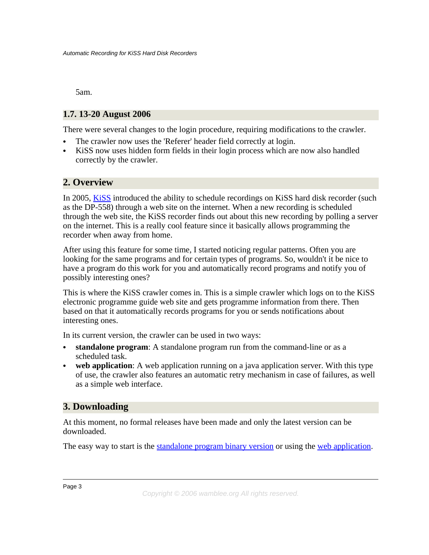5am.

## <span id="page-2-0"></span>**1.7. 13-20 August 2006**

There were several changes to the login procedure, requiring modifications to the crawler.

- The crawler now uses the 'Referer' header field correctly at login.
- KiSS now uses hidden form fields in their login process which are now also handled correctly by the crawler.

## <span id="page-2-1"></span>**2. Overview**

In 2005, [KiSS](http://www.kiss-technology.com) introduced the ability to schedule recordings on KiSS hard disk recorder (such as the DP-558) through a web site on the internet. When a new recording is scheduled through the web site, the KiSS recorder finds out about this new recording by polling a server on the internet. This is a really cool feature since it basically allows programming the recorder when away from home.

After using this feature for some time, I started noticing regular patterns. Often you are looking for the same programs and for certain types of programs. So, wouldn't it be nice to have a program do this work for you and automatically record programs and notify you of possibly interesting ones?

This is where the KiSS crawler comes in. This is a simple crawler which logs on to the KiSS electronic programme guide web site and gets programme information from there. Then based on that it automatically records programs for you or sends notifications about interesting ones.

In its current version, the crawler can be used in two ways:

- **standalone program**: A standalone program run from the command-line or as a scheduled task.
- **web application**: A web application running on a java application server. With this type of use, the crawler also features an automatic retry mechanism in case of failures, as well as a simple web interface.

## <span id="page-2-2"></span>**3. Downloading**

At this moment, no formal releases have been made and only the latest version can be downloaded.

The easy way to start is the [standalone](installs/crawler/target/wamblee-crawler-0.2-SNAPSHOT-kissbin.zip) program binary version or using the web [application.](installs/crawler/kissweb/target/wamblee-crawler-kissweb.war)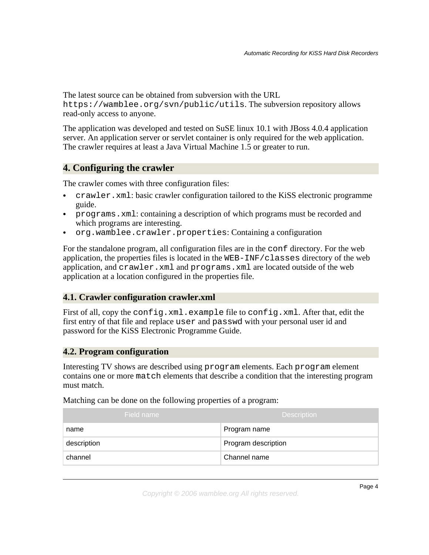The latest source can be obtained from subversion with the URL https://wamblee.org/svn/public/utils. The subversion repository allows read-only access to anyone.

The application was developed and tested on SuSE linux 10.1 with JBoss 4.0.4 application server. An application server or servlet container is only required for the web application. The crawler requires at least a Java Virtual Machine 1.5 or greater to run.

## <span id="page-3-0"></span>**4. Configuring the crawler**

The crawler comes with three configuration files:

- crawler.xml: basic crawler configuration tailored to the KiSS electronic programme guide.
- programs.xml: containing a description of which programs must be recorded and which programs are interesting.
- org.wamblee.crawler.properties: Containing a configuration

For the standalone program, all configuration files are in the conf directory. For the web application, the properties files is located in the WEB-INF/classes directory of the web application, and crawler.xml and programs.xml are located outside of the web application at a location configured in the properties file.

#### <span id="page-3-1"></span>**4.1. Crawler configuration crawler.xml**

First of all, copy the config.xml.example file to config.xml. After that, edit the first entry of that file and replace user and passwd with your personal user id and password for the KiSS Electronic Programme Guide.

#### <span id="page-3-2"></span>**4.2. Program configuration**

Interesting TV shows are described using program elements. Each program element contains one or more match elements that describe a condition that the interesting program must match.

Matching can be done on the following properties of a program:

| Field name  | <b>Description</b>  |
|-------------|---------------------|
| name        | Program name        |
| description | Program description |
| channel     | Channel name        |

Copyright © 2006 wamblee.org All rights reserved.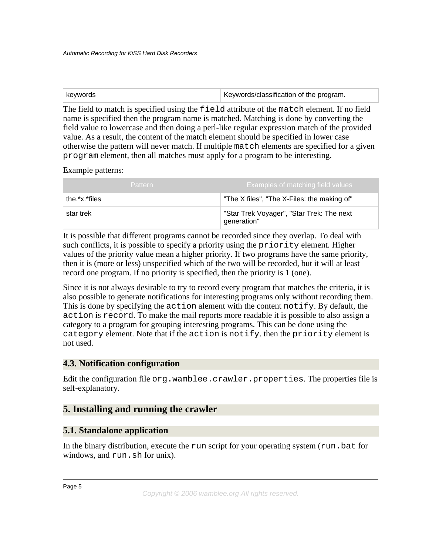| keywords | Keywords/classification of the program. |
|----------|-----------------------------------------|
|          |                                         |

The field to match is specified using the field attribute of the match element. If no field name is specified then the program name is matched. Matching is done by converting the field value to lowercase and then doing a perl-like regular expression match of the provided value. As a result, the content of the match element should be specified in lower case otherwise the pattern will never match. If multiple match elements are specified for a given program element, then all matches must apply for a program to be interesting.

Example patterns:

| <b>Pattern</b> | Examples of matching field values                        |
|----------------|----------------------------------------------------------|
| the.*x.*files  | "The X files", "The X-Files: the making of"              |
| star trek      | "Star Trek Voyager", "Star Trek: The next<br>generation" |

It is possible that different programs cannot be recorded since they overlap. To deal with such conflicts, it is possible to specify a priority using the priority element. Higher values of the priority value mean a higher priority. If two programs have the same priority, then it is (more or less) unspecified which of the two will be recorded, but it will at least record one program. If no priority is specified, then the priority is 1 (one).

Since it is not always desirable to try to record every program that matches the criteria, it is also possible to generate notifications for interesting programs only without recording them. This is done by specifying the action alement with the content notify. By default, the action is record. To make the mail reports more readable it is possible to also assign a category to a program for grouping interesting programs. This can be done using the category element. Note that if the action is notify. then the priority element is not used.

## <span id="page-4-0"></span>**4.3. Notification configuration**

Edit the configuration file org.wamblee.crawler.properties. The properties file is self-explanatory.

## <span id="page-4-1"></span>**5. Installing and running the crawler**

#### <span id="page-4-2"></span>**5.1. Standalone application**

In the binary distribution, execute the run script for your operating system (run.bat for windows, and run.sh for unix).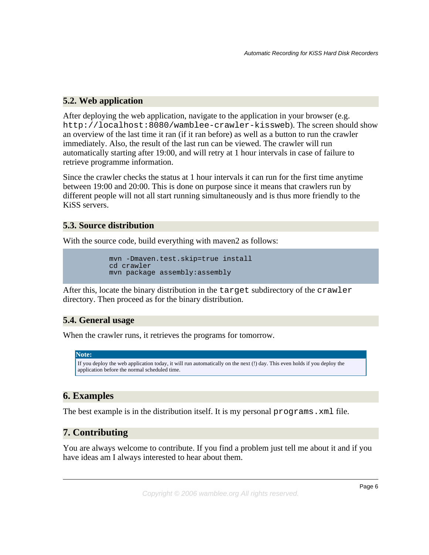## <span id="page-5-0"></span>**5.2. Web application**

After deploying the web application, navigate to the application in your browser (e.g. http://localhost:8080/wamblee-crawler-kissweb). The screen should show an overview of the last time it ran (if it ran before) as well as a button to run the crawler immediately. Also, the result of the last run can be viewed. The crawler will run automatically starting after 19:00, and will retry at 1 hour intervals in case of failure to retrieve programme information.

Since the crawler checks the status at 1 hour intervals it can run for the first time anytime between 19:00 and 20:00. This is done on purpose since it means that crawlers run by different people will not all start running simultaneously and is thus more friendly to the KiSS servers.

#### <span id="page-5-1"></span>**5.3. Source distribution**

With the source code, build everything with maven2 as follows:

```
mvn -Dmaven.test.skip=true install
cd crawler
mvn package assembly:assembly
```
After this, locate the binary distribution in the target subdirectory of the crawler directory. Then proceed as for the binary distribution.

## <span id="page-5-2"></span>**5.4. General usage**

When the crawler runs, it retrieves the programs for tomorrow.

#### **Note:**

```
If you deploy the web application today, it will run automatically on the next (!) day. This even holds if you deploy the
application before the normal scheduled time.
```
## <span id="page-5-3"></span>**6. Examples**

The best example is in the distribution itself. It is my personal programs. xml file.

## <span id="page-5-4"></span>**7. Contributing**

You are always welcome to contribute. If you find a problem just tell me about it and if you have ideas am I always interested to hear about them.